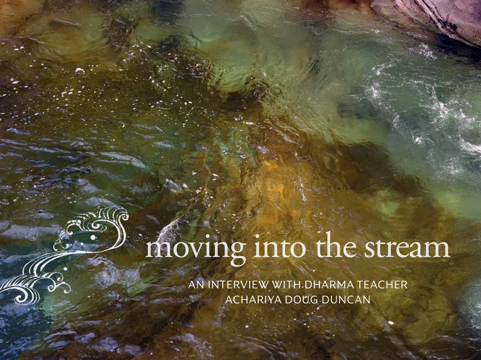# moving into the stream

AN INTERVIEW WITH DHARMA TEACHER ACHARIYA DOUG DUNCAN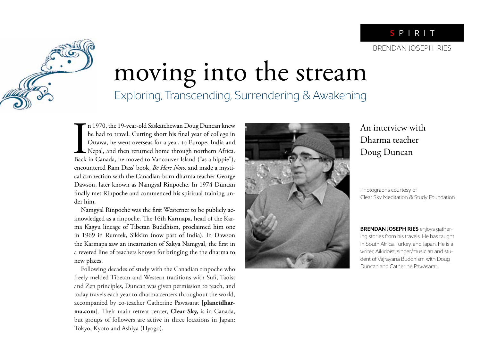## moving into the stream Exploring, Transcending, Surrendering & Awakening

In 1970, the 19-year-old Saskatchewan Doug Duncan knew<br>he had to travel. Cutting short his final year of college in<br>Ottawa, he went overseas for a year, to Europe, India and<br>Nepal, and then returned home through northern A n 1970, the 19-year-old Saskatchewan Doug Duncan knew he had to travel. Cutting short his final year of college in Ottawa, he went overseas for a year, to Europe, India and Nepal, and then returned home through northern Africa. encountered Ram Dass' book, *Be Here Now,* and made a mystical connection with the Canadian-born dharma teacher George Dawson, later known as Namgyal Rinpoche. In 1974 Duncan finally met Rinpoche and commenced his spiritual training under him.

Namgyal Rinpoche was the first Westerner to be publicly acknowledged as a rinpoche. The 16th Karmapa, head of the Karma Kagyu lineage of Tibetan Buddhism, proclaimed him one in 1969 in Rumtek, Sikkim (now part of India). In Dawson the Karmapa saw an incarnation of Sakya Namgyal, the first in a revered line of teachers known for bringing the the dharma to new places.

Following decades of study with the Canadian rinpoche who freely melded Tibetan and Western traditions with Sufi, Taoist and Zen principles, Duncan was given permission to teach, and today travels each year to dharma centers throughout the world, accompanied by co-teacher Catherine Pawasarat [**planetdhar**ma.com]. Their main retreat center, Clear Sky, is in Canada, but groups of followers are active in three locations in Japan: Tokyo, Kyoto and Ashiya (Hyogo).



An interview with Dharma teacher Doug Duncan

Photographs courtesy of Clear Sky Meditation & Study Foundation

**BRENDAN JOSEPH RIES** enjoys gathering stories from his travels. He has taught in South Africa, Turkey, and Japan. He is a writer, Aikidoist, singer/musician and student of Vajrayana Buddhism with Doug Duncan and Catherine Pawasarat.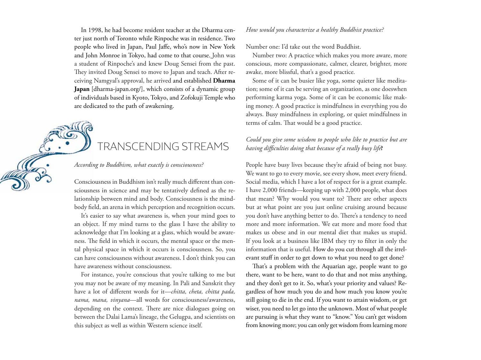In 1998, he had become resident teacher at the Dharma center just north of Toronto while Rinpoche was in residence. Two people who lived in Japan, Paul Jaffe, who's now in New York and John Monroe in Tokyo, had come to that course. John was a student of Rinpoche's and knew Doug Sensei from the past. They invited Doug Sensei to move to Japan and teach. After receiving Namgyal's approval, he arrived and established **Dharma Japan** [dharma-japan.org/], which consists of a dynamic group of individuals based in Kyoto, Tokyo, and Zofokuji Temple who are dedicated to the path of awakening.

## TRANSCENDING STREAMS

#### *According to Buddhism, what exactly is consciousness?*

Consciousness in Buddhism isn't really much different than consciousness in science and may be tentatively defined as the relationship between mind and body. Consciousness is the mindbody field, an arena in which perception and recognition occurs.

It's easier to say what awareness is, when your mind goes to an object. If my mind turns to the glass I have the ability to acknowledge that I'm looking at a glass, which would be awareness. The field in which it occurs, the mental space or the mental physical space in which it occurs is consciousness. So, you can have consciousness without awareness. I don't think you can have awareness without consciousness.

For instance, you're conscious that you're talking to me but you may not be aware of my meaning. In Pali and Sanskrit they have a lot of different words for it—*chitta, cheta, chitta pada, nama, mana, vinyana*—all words for consciousness/awareness, depending on the context. There are nice dialogues going on between the Dalai Lama's lineage, the Gelugpa, and scientists on this subject as well as within Western science itself.

#### *How would you characterize a healthy Buddhist practice?*

Number one: I'd take out the word Buddhist.

Number two: A practice which makes you more aware, more conscious, more compassionate, calmer, clearer, brighter, more awake, more blissful, that's a good practice.

Some of it can be busier like yoga, some quieter like meditation; some of it can be serving an organization, as one doeswhen performing karma yoga. Some of it can be economic like making money. A good practice is mindfulness in everything you do always. Busy mindfulness in exploring, or quiet mindfulness in terms of calm. That would be a good practice.

#### *Could you give some wisdom to people who like to practice but are having di!culties doing that because of a really busy life***?**

People have busy lives because they're afraid of being not busy. We want to go to every movie, see every show, meet every friend. Social media, which I have a lot of respect for is a great example. I have 2,000 friends—keeping up with 2,000 people, what does that mean? Why would you want to? There are other aspects but at what point are you just online cruising around because you don't have anything better to do. There's a tendency to need more and more information. We eat more and more food that makes us obese and in our mental diet that makes us stupid. If you look at a business like IBM they try to filter in only the information that is useful. How do you cut through all the irrelevant stuff in order to get down to what you need to get done?

That's a problem with the Aquarian age, people want to go there, want to be here, want to do that and not miss anything, and they don't get to it. So, what's your priority and values? Regardless of how much you do and how much you know you're still going to die in the end. If you want to attain wisdom, or get wiser, you need to let go into the unknown. Most of what people are pursuing is what they want to "know." You can't get wisdom from knowing more; you can only get wisdom from learning more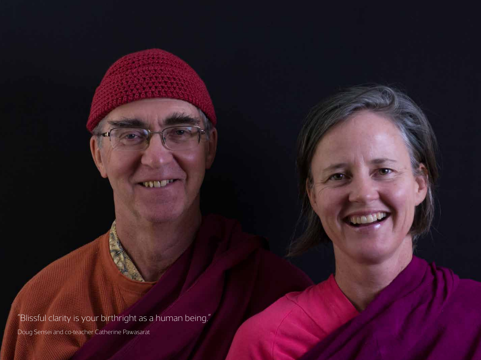"Blissful clarity is your birthright as a human being."

 $-0.603$ 

Doug Sensei and co-teacher Catherine Pawasarat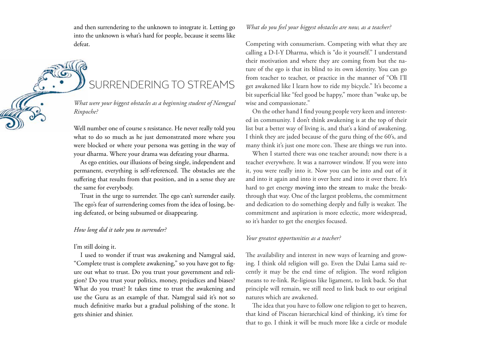and then surrendering to the unknown to integrate it. Letting go into the unknown is what's hard for people, because it seems like defeat.

SURRENDERING TO STREAMS

*What were your biggest obstacles as a beginning student of Namgyal Rinpoche?*

Well number one of course s resistance. He never really told you what to do so much as he just demonstrated more where you were blocked or where your persona was getting in the way of your dharma. Where your drama was defeating your dharma.

As ego entities, our illusions of being single, independent and permanent, everything is self-referenced. The obstacles are the suffering that results from that position, and in a sense they are the same for everybody.

Trust in the urge to surrender. The ego can't surrender easily. The ego's fear of surrendering comes from the idea of losing, being defeated, or being subsumed or disappearing.

#### *How long did it take you to surrender?*

#### I'm still doing it.

I used to wonder if trust was awakening and Namgyal said, "Complete trust is complete awakening," so you have got to figure out what to trust. Do you trust your government and religion? Do you trust your politics, money, prejudices and biases? What do you trust? It takes time to trust the awakening and use the Guru as an example of that. Namgyal said it's not so much definitive marks but a gradual polishing of the stone. It gets shinier and shinier.

#### *What do you feel your biggest obstacles are now, as a teacher?*

Competing with consumerism. Competing with what they are calling a D-I-Y Dharma, which is "do it yourself." I understand their motivation and where they are coming from but the nature of the ego is that its blind to its own identity. You can go from teacher to teacher, or practice in the manner of "Oh I'll get awakened like I learn how to ride my bicycle." It's become a bit superficial like "feel good be happy," more than "wake up, be wise and compassionate."

On the other hand I find young people very keen and interested in community. I don't think awakening is at the top of their list but a better way of living is, and that's a kind of awakening. I think they are jaded because of the guru thing of the 60's, and many think it's just one more con. These are things we run into.

When I started there was one teacher around; now there is a teacher everywhere. It was a narrower window. If you were into it, you were really into it. Now you can be into and out of it and into it again and into it over here and into it over there. It's hard to get energy moving into the stream to make the breakthrough that way. One of the largest problems, the commitment and dedication to do something deeply and fully is weaker. The commitment and aspiration is more eclectic, more widespread, so it's harder to get the energies focused.

#### *Your greatest opportunities as a teacher?*

The availability and interest in new ways of learning and growing. I think old religion will go. Even the Dalai Lama said recently it may be the end time of religion. The word religion means to re-link. Re-ligious like ligament, to link back. So that principle will remain, we still need to link back to our original natures which are awakened.

The idea that you have to follow one religion to get to heaven, that kind of Piscean hierarchical kind of thinking, it's time for that to go. I think it will be much more like a circle or module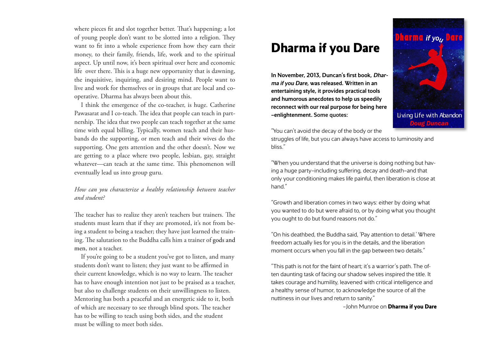where pieces fit and slot together better. That's happening; a lot of young people don't want to be slotted into a religion. They want to fit into a whole experience from how they earn their money, to their family, friends, life, work and to the spiritual aspect. Up until now, it's been spiritual over here and economic life over there. This is a huge new opportunity that is dawning, the inquisitive, inquiring, and desiring mind. People want to live and work for themselves or in groups that are local and cooperative. Dharma has always been about this.

I think the emergence of the co-teacher, is huge. Catherine Pawasarat and I co-teach. The idea that people can teach in partnership. The idea that two people can teach together at the same time with equal billing. Typically, women teach and their husbands do the supporting, or men teach and their wives do the supporting. One gets attention and the other doesn't. Now we are getting to a place where two people, lesbian, gay, straight whatever—can teach at the same time. This phenomenon will eventually lead us into group guru.

#### *How can you characterize a healthy relationship between teacher and student?*

The teacher has to realize they aren't teachers but trainers. The students must learn that if they are promoted, it's not from being a student to being a teacher; they have just learned the training. The salutation to the Buddha calls him a trainer of gods and men, not a teacher.

If you're going to be a student you've got to listen, and many students don't want to listen; they just want to be affirmed in their current knowledge, which is no way to learn. The teacher has to have enough intention not just to be praised as a teacher, but also to challenge students on their unwillingness to listen. Mentoring has both a peaceful and an energetic side to it, both of which are necessary to see through blind spots. The teacher has to be willing to teach using both sides, and the student must be willing to meet both sides.

## **Dharma if you Dare**

In November, 2013, Duncan's first book, Dharma if you Dare, was released. Written in an entertaining style, it provides practical tools and humorous anecdotes to help us speedily reconnect with our real purpose for being here —enlightenment. Some quotes:



"You can't avoid the decay of the body or the

struggles of life, but you can always have access to luminosity and bliss."

"When you understand that the universe is doing nothing but having a huge party—including suffering, decay and death—and that only your conditioning makes life painful, then liberation is close at hand."

"Growth and liberation comes in two ways: either by doing what you wanted to do but were afraid to, or by doing what you thought you ought to do but found reasons not do."

"On his deathbed, the Buddha said, 'Pay attention to detail.' Where freedom actually lies for you is in the details, and the liberation moment occurs when you fall in the gap between two details."

"This path is not for the faint of heart; it's a warrior's path. The often daunting task of facing our shadow selves inspired the title. It takes courage and humility, leavened with critical intelligence and a healthy sense of humor, to acknowledge the source of all the nuttiness in our lives and return to sanity."

—John Munroe on **Dharma if you Dare**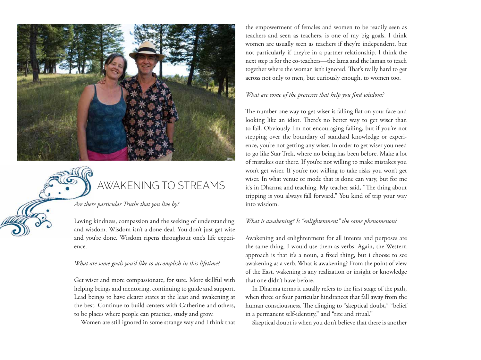



### AWAKENING TO STREAMS

*Are there particular Truths that you live by?*

Loving kindness, compassion and the seeking of understanding and wisdom. Wisdom isn't a done deal. You don't just get wise and you're done. Wisdom ripens throughout one's life experience.

#### *What are some goals you'd like to accomplish in this lifetime?*

Get wiser and more compassionate, for sure. More skillful with helping beings and mentoring, continuing to guide and support. Lead beings to have clearer states at the least and awakening at the best. Continue to build centers with Catherine and others, to be places where people can practice, study and grow.

Women are still ignored in some strange way and I think that

the empowerment of females and women to be readily seen as teachers and seen as teachers, is one of my big goals. I think women are usually seen as teachers if they're independent, but not particularly if they're in a partner relationship. I think the next step is for the co-teachers—the lama and the laman to teach together where the woman isn't ignored. That's really hard to get across not only to men, but curiously enough, to women too.

#### *What are some of the processes that help you find wisdom?*

The number one way to get wiser is falling flat on your face and looking like an idiot. There's no better way to get wiser than to fail. Obviously I'm not encouraging failing, but if you're not stepping over the boundary of standard knowledge or experience, you're not getting any wiser. In order to get wiser you need to go like Star Trek, where no being has been before. Make a lot of mistakes out there. If you're not willing to make mistakes you won't get wiser. If you're not willing to take risks you won't get wiser. In what venue or mode that is done can vary, but for me it's in Dharma and teaching. My teacher said, "The thing about tripping is you always fall forward." You kind of trip your way into wisdom.

#### *What is awakening? Is "enlightenment" the same phenomenon?*

Awakening and enlightenment for all intents and purposes are the same thing. I would use them as verbs. Again, the Western approach is that it's a noun, a fixed thing, but i choose to see awakening as a verb. What is awakening? From the point of view of the East, wakening is any realization or insight or knowledge that one didn't have before.

In Dharma terms it usually refers to the first stage of the path, when three or four particular hindrances that fall away from the human consciousness. The clinging to "skeptical doubt," "belief in a permanent self-identity," and "rite and ritual."

Skeptical doubt is when you don't believe that there is another